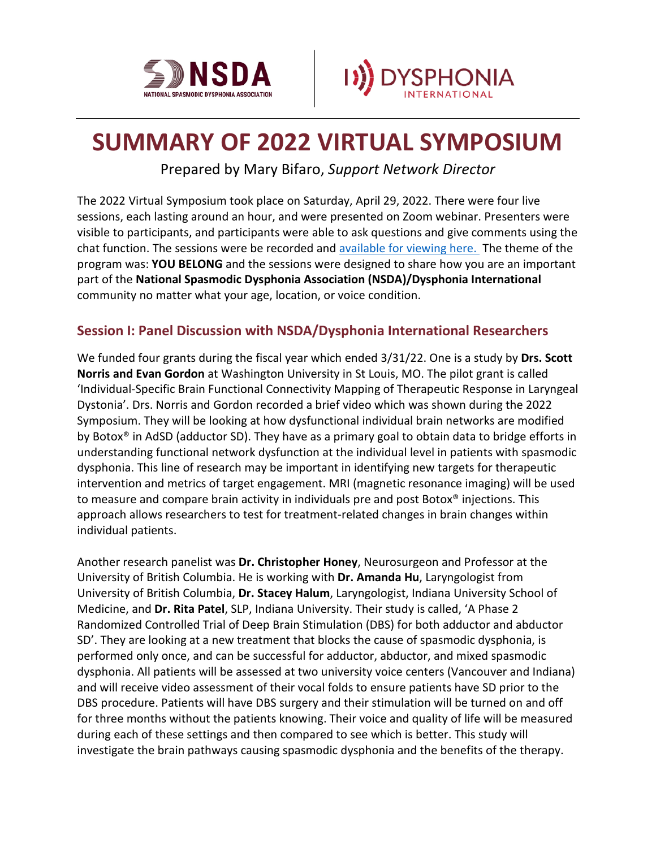



# **SUMMARY OF 2022 VIRTUAL SYMPOSIUM**

Prepared by Mary Bifaro, *Support Network Director*

The 2022 Virtual Symposium took place on Saturday, April 29, 2022. There were four live sessions, each lasting around an hour, and were presented on Zoom webinar. Presenters were visible to participants, and participants were able to ask questions and give comments using the chat function. The sessions were be recorded and [available for viewing here.](https://www.youtube.com/watch?v=mGdgFbTShYc&list=PLTzLhpd_gAl6Ahb-mWdU3JufCv_VbSimm) The theme of the program was: **YOU BELONG** and the sessions were designed to share how you are an important part of the **National Spasmodic Dysphonia Association (NSDA)/Dysphonia International** community no matter what your age, location, or voice condition.

#### **Session I: Panel Discussion with NSDA/Dysphonia International Researchers**

We funded four grants during the fiscal year which ended 3/31/22. One is a study by **Drs. Scott Norris and Evan Gordon** at Washington University in St Louis, MO. The pilot grant is called 'Individual-Specific Brain Functional Connectivity Mapping of Therapeutic Response in Laryngeal Dystonia'. Drs. Norris and Gordon recorded a brief video which was shown during the 2022 Symposium. They will be looking at how dysfunctional individual brain networks are modified by Botox® in AdSD (adductor SD). They have as a primary goal to obtain data to bridge efforts in understanding functional network dysfunction at the individual level in patients with spasmodic dysphonia. This line of research may be important in identifying new targets for therapeutic intervention and metrics of target engagement. MRI (magnetic resonance imaging) will be used to measure and compare brain activity in individuals pre and post Botox® injections. This approach allows researchers to test for treatment-related changes in brain changes within individual patients.

Another research panelist was **Dr. Christopher Honey**, Neurosurgeon and Professor at the University of British Columbia. He is working with **Dr. Amanda Hu**, Laryngologist from University of British Columbia, **Dr. Stacey Halum**, Laryngologist, Indiana University School of Medicine, and **Dr. Rita Patel**, SLP, Indiana University. Their study is called, 'A Phase 2 Randomized Controlled Trial of Deep Brain Stimulation (DBS) for both adductor and abductor SD'. They are looking at a new treatment that blocks the cause of spasmodic dysphonia, is performed only once, and can be successful for adductor, abductor, and mixed spasmodic dysphonia. All patients will be assessed at two university voice centers (Vancouver and Indiana) and will receive video assessment of their vocal folds to ensure patients have SD prior to the DBS procedure. Patients will have DBS surgery and their stimulation will be turned on and off for three months without the patients knowing. Their voice and quality of life will be measured during each of these settings and then compared to see which is better. This study will investigate the brain pathways causing spasmodic dysphonia and the benefits of the therapy.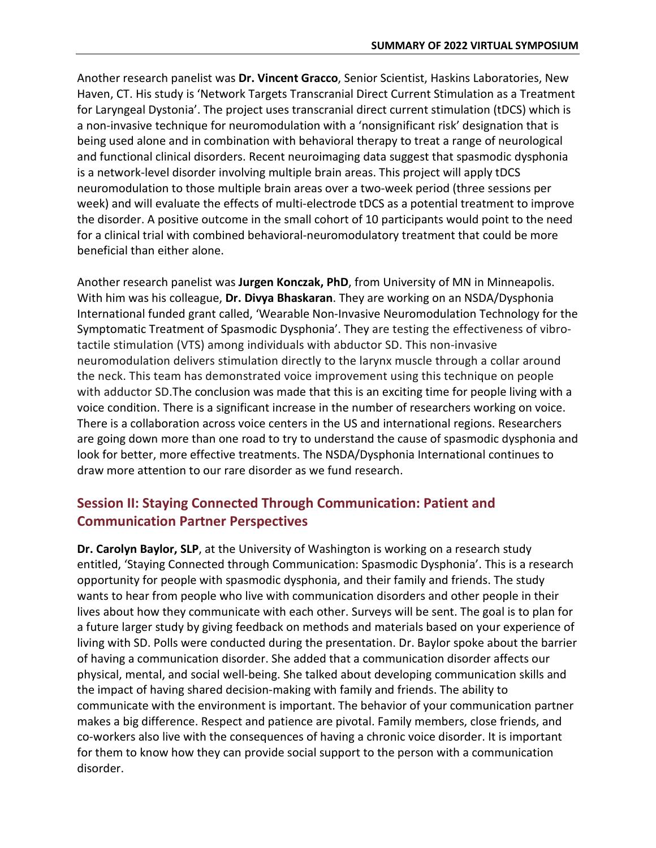Another research panelist was **Dr. Vincent Gracco**, Senior Scientist, Haskins Laboratories, New Haven, CT. His study is 'Network Targets Transcranial Direct Current Stimulation as a Treatment for Laryngeal Dystonia'. The project uses transcranial direct current stimulation (tDCS) which is a non-invasive technique for neuromodulation with a 'nonsignificant risk' designation that is being used alone and in combination with behavioral therapy to treat a range of neurological and functional clinical disorders. Recent neuroimaging data suggest that spasmodic dysphonia is a network-level disorder involving multiple brain areas. This project will apply tDCS neuromodulation to those multiple brain areas over a two-week period (three sessions per week) and will evaluate the effects of multi-electrode tDCS as a potential treatment to improve the disorder. A positive outcome in the small cohort of 10 participants would point to the need for a clinical trial with combined behavioral-neuromodulatory treatment that could be more beneficial than either alone.

Another research panelist was **Jurgen Konczak, PhD**, from University of MN in Minneapolis. With him was his colleague, **Dr. Divya Bhaskaran**. They are working on an NSDA/Dysphonia International funded grant called, 'Wearable Non-Invasive Neuromodulation Technology for the Symptomatic Treatment of Spasmodic Dysphonia'. They are testing the effectiveness of vibrotactile stimulation (VTS) among individuals with abductor SD. This non-invasive neuromodulation delivers stimulation directly to the larynx muscle through a collar around the neck. This team has demonstrated voice improvement using this technique on people with adductor SD.The conclusion was made that this is an exciting time for people living with a voice condition. There is a significant increase in the number of researchers working on voice. There is a collaboration across voice centers in the US and international regions. Researchers are going down more than one road to try to understand the cause of spasmodic dysphonia and look for better, more effective treatments. The NSDA/Dysphonia International continues to draw more attention to our rare disorder as we fund research.

## **Session II: Staying Connected Through Communication: Patient and Communication Partner Perspectives**

**Dr. Carolyn Baylor, SLP**, at the University of Washington is working on a research study entitled, 'Staying Connected through Communication: Spasmodic Dysphonia'. This is a research opportunity for people with spasmodic dysphonia, and their family and friends. The study wants to hear from people who live with communication disorders and other people in their lives about how they communicate with each other. Surveys will be sent. The goal is to plan for a future larger study by giving feedback on methods and materials based on your experience of living with SD. Polls were conducted during the presentation. Dr. Baylor spoke about the barrier of having a communication disorder. She added that a communication disorder affects our physical, mental, and social well-being. She talked about developing communication skills and the impact of having shared decision-making with family and friends. The ability to communicate with the environment is important. The behavior of your communication partner makes a big difference. Respect and patience are pivotal. Family members, close friends, and co-workers also live with the consequences of having a chronic voice disorder. It is important for them to know how they can provide social support to the person with a communication disorder.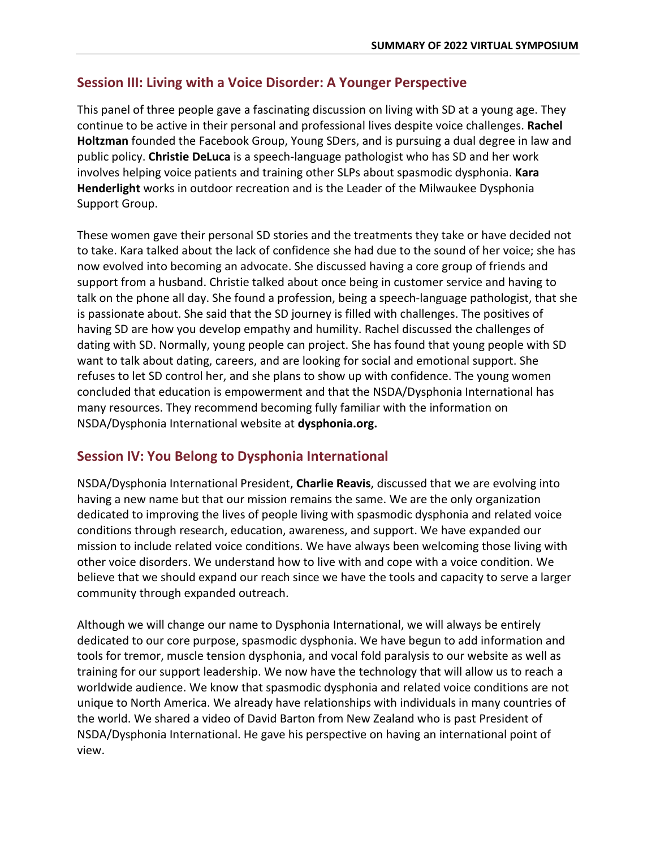## **Session III: Living with a Voice Disorder: A Younger Perspective**

This panel of three people gave a fascinating discussion on living with SD at a young age. They continue to be active in their personal and professional lives despite voice challenges. **Rachel Holtzman** founded the Facebook Group, Young SDers, and is pursuing a dual degree in law and public policy. **Christie DeLuca** is a speech-language pathologist who has SD and her work involves helping voice patients and training other SLPs about spasmodic dysphonia. **Kara Henderlight** works in outdoor recreation and is the Leader of the Milwaukee Dysphonia Support Group.

These women gave their personal SD stories and the treatments they take or have decided not to take. Kara talked about the lack of confidence she had due to the sound of her voice; she has now evolved into becoming an advocate. She discussed having a core group of friends and support from a husband. Christie talked about once being in customer service and having to talk on the phone all day. She found a profession, being a speech-language pathologist, that she is passionate about. She said that the SD journey is filled with challenges. The positives of having SD are how you develop empathy and humility. Rachel discussed the challenges of dating with SD. Normally, young people can project. She has found that young people with SD want to talk about dating, careers, and are looking for social and emotional support. She refuses to let SD control her, and she plans to show up with confidence. The young women concluded that education is empowerment and that the NSDA/Dysphonia International has many resources. They recommend becoming fully familiar with the information on NSDA/Dysphonia International website at **dysphonia.org.**

## **Session IV: You Belong to Dysphonia International**

NSDA/Dysphonia International President, **Charlie Reavis**, discussed that we are evolving into having a new name but that our mission remains the same. We are the only organization dedicated to improving the lives of people living with spasmodic dysphonia and related voice conditions through research, education, awareness, and support. We have expanded our mission to include related voice conditions. We have always been welcoming those living with other voice disorders. We understand how to live with and cope with a voice condition. We believe that we should expand our reach since we have the tools and capacity to serve a larger community through expanded outreach.

Although we will change our name to Dysphonia International, we will always be entirely dedicated to our core purpose, spasmodic dysphonia. We have begun to add information and tools for tremor, muscle tension dysphonia, and vocal fold paralysis to our website as well as training for our support leadership. We now have the technology that will allow us to reach a worldwide audience. We know that spasmodic dysphonia and related voice conditions are not unique to North America. We already have relationships with individuals in many countries of the world. We shared a video of David Barton from New Zealand who is past President of NSDA/Dysphonia International. He gave his perspective on having an international point of view.